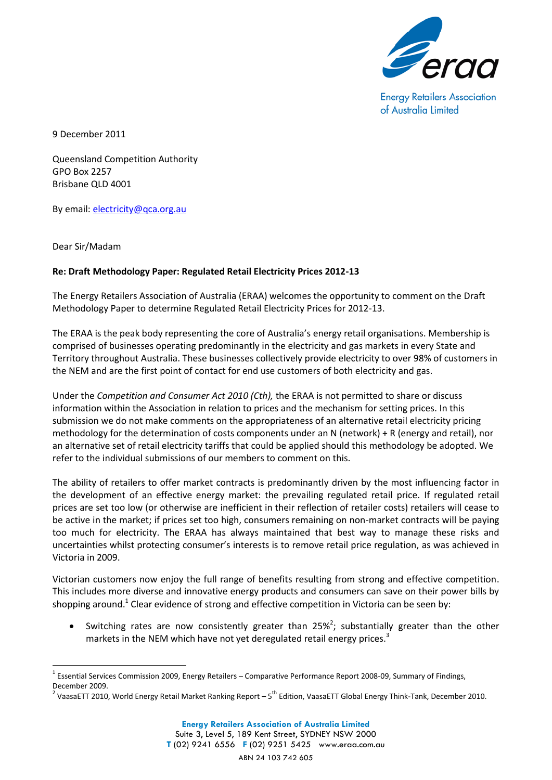

**Energy Retailers Association** of Australia Limited

9 December 2011

Queensland Competition Authority GPO Box 2257 Brisbane QLD 4001

By email: [electricity@qca.org.au](mailto:electricity@qca.org.au)

Dear Sir/Madam

1

## **Re: Draft Methodology Paper: Regulated Retail Electricity Prices 2012-13**

The Energy Retailers Association of Australia (ERAA) welcomes the opportunity to comment on the Draft Methodology Paper to determine Regulated Retail Electricity Prices for 2012-13.

The ERAA is the peak body representing the core of Australia's energy retail organisations. Membership is comprised of businesses operating predominantly in the electricity and gas markets in every State and Territory throughout Australia. These businesses collectively provide electricity to over 98% of customers in the NEM and are the first point of contact for end use customers of both electricity and gas.

Under the *Competition and Consumer Act 2010 (Cth),* the ERAA is not permitted to share or discuss information within the Association in relation to prices and the mechanism for setting prices. In this submission we do not make comments on the appropriateness of an alternative retail electricity pricing methodology for the determination of costs components under an N (network) + R (energy and retail), nor an alternative set of retail electricity tariffs that could be applied should this methodology be adopted. We refer to the individual submissions of our members to comment on this.

The ability of retailers to offer market contracts is predominantly driven by the most influencing factor in the development of an effective energy market: the prevailing regulated retail price. If regulated retail prices are set too low (or otherwise are inefficient in their reflection of retailer costs) retailers will cease to be active in the market; if prices set too high, consumers remaining on non-market contracts will be paying too much for electricity. The ERAA has always maintained that best way to manage these risks and uncertainties whilst protecting consumer's interests is to remove retail price regulation, as was achieved in Victoria in 2009.

Victorian customers now enjoy the full range of benefits resulting from strong and effective competition. This includes more diverse and innovative energy products and consumers can save on their power bills by shopping around.<sup>1</sup> Clear evidence of strong and effective competition in Victoria can be seen by:

• Switching rates are now consistently greater than  $25\%$ ; substantially greater than the other markets in the NEM which have not yet deregulated retail energy prices.<sup>3</sup>

<sup>&</sup>lt;sup>1</sup> Essential Services Commission 2009, Energy Retailers – Comparative Performance Report 2008-09, Summary of Findings, December 2009.

<sup>&</sup>lt;sup>2</sup> VaasaETT 2010, World Energy Retail Market Ranking Report – 5<sup>th</sup> Edition, VaasaETT Global Energy Think-Tank, December 2010.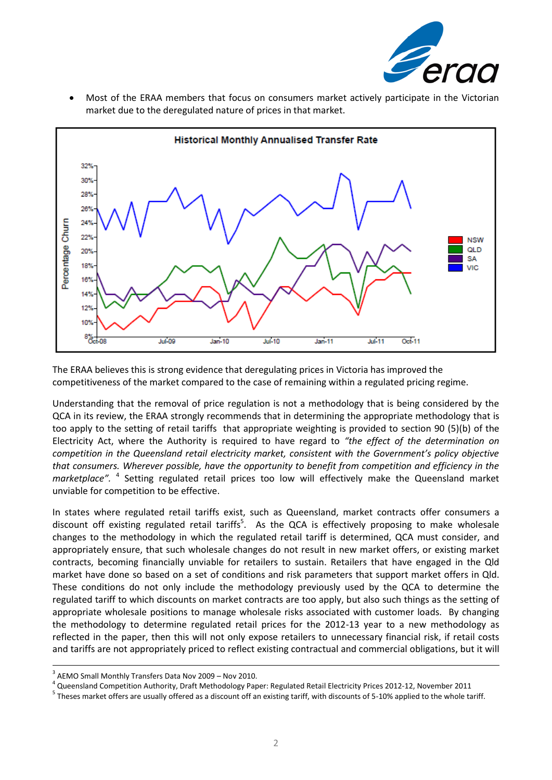

 Most of the ERAA members that focus on consumers market actively participate in the Victorian market due to the deregulated nature of prices in that market.



The ERAA believes this is strong evidence that deregulating prices in Victoria has improved the competitiveness of the market compared to the case of remaining within a regulated pricing regime.

Understanding that the removal of price regulation is not a methodology that is being considered by the QCA in its review, the ERAA strongly recommends that in determining the appropriate methodology that is too apply to the setting of retail tariffs that appropriate weighting is provided to section 90 (5)(b) of the Electricity Act, where the Authority is required to have regard to *"the effect of the determination on competition in the Queensland retail electricity market, consistent with the Government's policy objective that consumers. Wherever possible, have the opportunity to benefit from competition and efficiency in the*  marketplace". <sup>4</sup> Setting regulated retail prices too low will effectively make the Queensland market unviable for competition to be effective.

In states where regulated retail tariffs exist, such as Queensland, market contracts offer consumers a discount off existing regulated retail tariffs<sup>5</sup>. As the QCA is effectively proposing to make wholesale changes to the methodology in which the regulated retail tariff is determined, QCA must consider, and appropriately ensure, that such wholesale changes do not result in new market offers, or existing market contracts, becoming financially unviable for retailers to sustain. Retailers that have engaged in the Qld market have done so based on a set of conditions and risk parameters that support market offers in Qld. These conditions do not only include the methodology previously used by the QCA to determine the regulated tariff to which discounts on market contracts are too apply, but also such things as the setting of appropriate wholesale positions to manage wholesale risks associated with customer loads. By changing the methodology to determine regulated retail prices for the 2012-13 year to a new methodology as reflected in the paper, then this will not only expose retailers to unnecessary financial risk, if retail costs and tariffs are not appropriately priced to reflect existing contractual and commercial obligations, but it will

1

<sup>&</sup>lt;sup>3</sup> AEMO Small Monthly Transfers Data Nov 2009 - Nov 2010.

<sup>&</sup>lt;sup>4</sup> Queensland Competition Authority, Draft Methodology Paper: Regulated Retail Electricity Prices 2012-12, November 2011

<sup>&</sup>lt;sup>5</sup> Theses market offers are usually offered as a discount off an existing tariff, with discounts of 5-10% applied to the whole tariff.